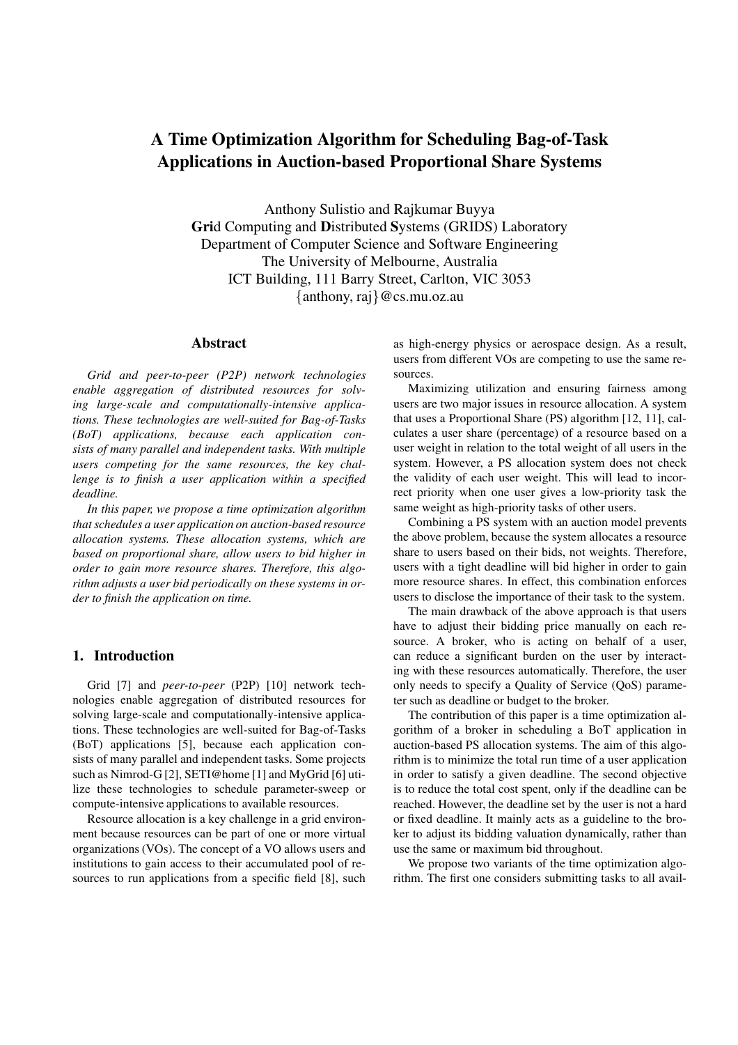# **A Time Optimization Algorithm for Scheduling Bag-of-Task Applications in Auction-based Proportional Share Systems**

Anthony Sulistio and Rajkumar Buyya **Gri**d Computing and **D**istributed **S**ystems (GRIDS) Laboratory Department of Computer Science and Software Engineering The University of Melbourne, Australia ICT Building, 111 Barry Street, Carlton, VIC 3053 {anthony, raj}@cs.mu.oz.au

# **Abstract**

*Grid and peer-to-peer (P2P) network technologies enable aggregation of distributed resources for solving large-scale and computationally-intensive applications. These technologies are well-suited for Bag-of-Tasks (BoT) applications, because each application consists of many parallel and independent tasks. With multiple users competing for the same resources, the key challenge is to finish a user application within a specified deadline.*

*In this paper, we propose a time optimization algorithm that schedules a user application on auction-based resource allocation systems. These allocation systems, which are based on proportional share, allow users to bid higher in order to gain more resource shares. Therefore, this algorithm adjusts a user bid periodically on these systems in order to finish the application on time.*

# **1. Introduction**

Grid [7] and *peer-to-peer* (P2P) [10] network technologies enable aggregation of distributed resources for solving large-scale and computationally-intensive applications. These technologies are well-suited for Bag-of-Tasks (BoT) applications [5], because each application consists of many parallel and independent tasks. Some projects such as Nimrod-G [2], SETI@home [1] and MyGrid [6] utilize these technologies to schedule parameter-sweep or compute-intensive applications to available resources.

Resource allocation is a key challenge in a grid environment because resources can be part of one or more virtual organizations (VOs). The concept of a VO allows users and institutions to gain access to their accumulated pool of resources to run applications from a specific field [8], such as high-energy physics or aerospace design. As a result, users from different VOs are competing to use the same resources.

Maximizing utilization and ensuring fairness among users are two major issues in resource allocation. A system that uses a Proportional Share (PS) algorithm [12, 11], calculates a user share (percentage) of a resource based on a user weight in relation to the total weight of all users in the system. However, a PS allocation system does not check the validity of each user weight. This will lead to incorrect priority when one user gives a low-priority task the same weight as high-priority tasks of other users.

Combining a PS system with an auction model prevents the above problem, because the system allocates a resource share to users based on their bids, not weights. Therefore, users with a tight deadline will bid higher in order to gain more resource shares. In effect, this combination enforces users to disclose the importance of their task to the system.

The main drawback of the above approach is that users have to adjust their bidding price manually on each resource. A broker, who is acting on behalf of a user, can reduce a significant burden on the user by interacting with these resources automatically. Therefore, the user only needs to specify a Quality of Service (QoS) parameter such as deadline or budget to the broker.

The contribution of this paper is a time optimization algorithm of a broker in scheduling a BoT application in auction-based PS allocation systems. The aim of this algorithm is to minimize the total run time of a user application in order to satisfy a given deadline. The second objective is to reduce the total cost spent, only if the deadline can be reached. However, the deadline set by the user is not a hard or fixed deadline. It mainly acts as a guideline to the broker to adjust its bidding valuation dynamically, rather than use the same or maximum bid throughout.

We propose two variants of the time optimization algorithm. The first one considers submitting tasks to all avail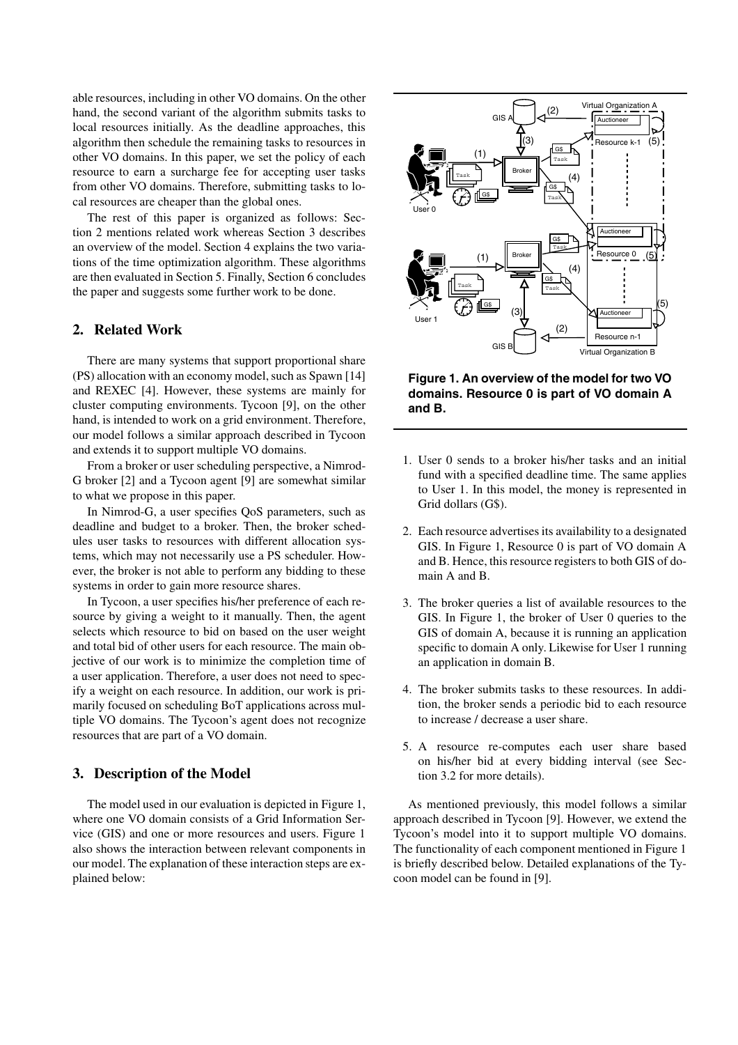able resources, including in other VO domains. On the other hand, the second variant of the algorithm submits tasks to local resources initially. As the deadline approaches, this algorithm then schedule the remaining tasks to resources in other VO domains. In this paper, we set the policy of each resource to earn a surcharge fee for accepting user tasks from other VO domains. Therefore, submitting tasks to local resources are cheaper than the global ones.

The rest of this paper is organized as follows: Section 2 mentions related work whereas Section 3 describes an overview of the model. Section 4 explains the two variations of the time optimization algorithm. These algorithms are then evaluated in Section 5. Finally, Section 6 concludes the paper and suggests some further work to be done.

# **2. Related Work**

There are many systems that support proportional share (PS) allocation with an economy model, such as Spawn [14] and REXEC [4]. However, these systems are mainly for cluster computing environments. Tycoon [9], on the other hand, is intended to work on a grid environment. Therefore, our model follows a similar approach described in Tycoon and extends it to support multiple VO domains.

From a broker or user scheduling perspective, a Nimrod-G broker [2] and a Tycoon agent [9] are somewhat similar to what we propose in this paper.

In Nimrod-G, a user specifies QoS parameters, such as deadline and budget to a broker. Then, the broker schedules user tasks to resources with different allocation systems, which may not necessarily use a PS scheduler. However, the broker is not able to perform any bidding to these systems in order to gain more resource shares.

In Tycoon, a user specifies his/her preference of each resource by giving a weight to it manually. Then, the agent selects which resource to bid on based on the user weight and total bid of other users for each resource. The main objective of our work is to minimize the completion time of a user application. Therefore, a user does not need to specify a weight on each resource. In addition, our work is primarily focused on scheduling BoT applications across multiple VO domains. The Tycoon's agent does not recognize resources that are part of a VO domain.

# **3. Description of the Model**

The model used in our evaluation is depicted in Figure 1, where one VO domain consists of a Grid Information Service (GIS) and one or more resources and users. Figure 1 also shows the interaction between relevant components in our model. The explanation of these interaction steps are explained below:



**Figure 1. An overview of the model for two VO domains. Resource 0 is part of VO domain A and B.**

- 1. User 0 sends to a broker his/her tasks and an initial fund with a specified deadline time. The same applies to User 1. In this model, the money is represented in Grid dollars (G\$).
- 2. Each resource advertises its availability to a designated GIS. In Figure 1, Resource 0 is part of VO domain A and B. Hence, this resource registers to both GIS of domain A and B.
- 3. The broker queries a list of available resources to the GIS. In Figure 1, the broker of User 0 queries to the GIS of domain A, because it is running an application specific to domain A only. Likewise for User 1 running an application in domain B.
- 4. The broker submits tasks to these resources. In addition, the broker sends a periodic bid to each resource to increase / decrease a user share.
- 5. A resource re-computes each user share based on his/her bid at every bidding interval (see Section 3.2 for more details).

As mentioned previously, this model follows a similar approach described in Tycoon [9]. However, we extend the Tycoon's model into it to support multiple VO domains. The functionality of each component mentioned in Figure 1 is briefly described below. Detailed explanations of the Tycoon model can be found in [9].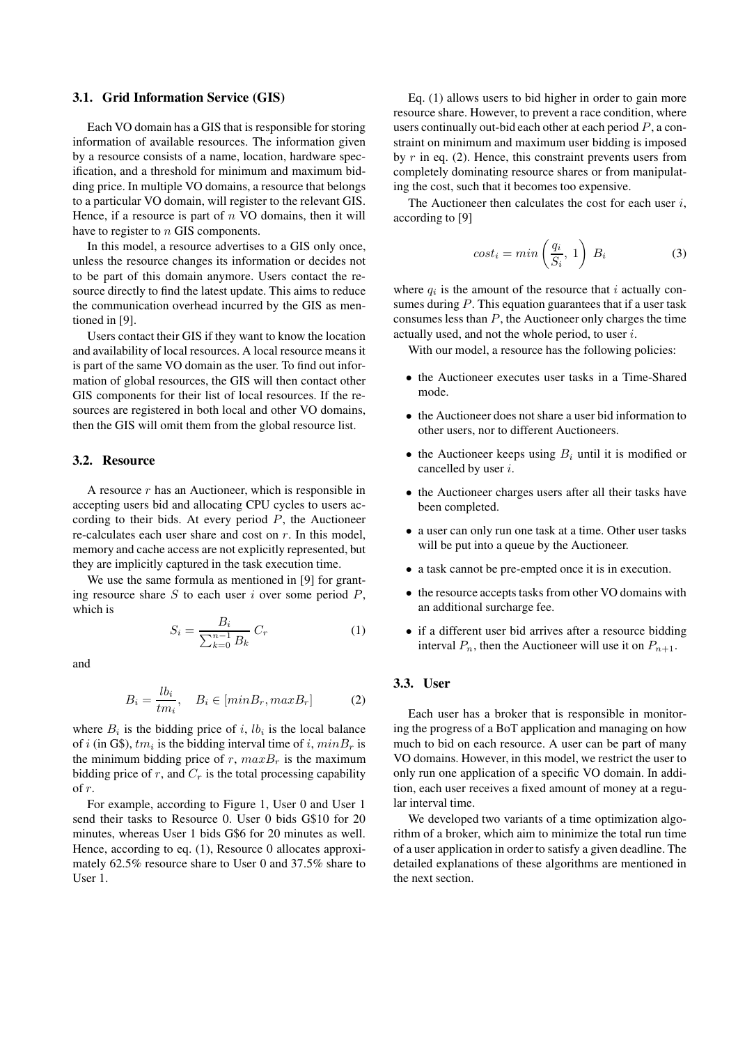#### **3.1. Grid Information Service (GIS)**

Each VO domain has a GIS that is responsible for storing information of available resources. The information given by a resource consists of a name, location, hardware specification, and a threshold for minimum and maximum bidding price. In multiple VO domains, a resource that belongs to a particular VO domain, will register to the relevant GIS. Hence, if a resource is part of  $n$  VO domains, then it will have to register to *n* GIS components.

In this model, a resource advertises to a GIS only once, unless the resource changes its information or decides not to be part of this domain anymore. Users contact the resource directly to find the latest update. This aims to reduce the communication overhead incurred by the GIS as mentioned in [9].

Users contact their GIS if they want to know the location and availability of local resources. A local resource means it is part of the same VO domain as the user. To find out information of global resources, the GIS will then contact other GIS components for their list of local resources. If the resources are registered in both local and other VO domains, then the GIS will omit them from the global resource list.

# **3.2. Resource**

A resource r has an Auctioneer, which is responsible in accepting users bid and allocating CPU cycles to users according to their bids. At every period  $P$ , the Auctioneer re-calculates each user share and cost on  $r$ . In this model, memory and cache access are not explicitly represented, but they are implicitly captured in the task execution time.

We use the same formula as mentioned in [9] for granting resource share  $S$  to each user  $i$  over some period  $P$ , which is

$$
S_i = \frac{B_i}{\sum_{k=0}^{n-1} B_k} C_r
$$
 (1)

and

$$
B_i = \frac{lb_i}{tm_i}, \quad B_i \in [minB_r, maxB_r]
$$
 (2)

where  $B_i$  is the bidding price of i,  $lb_i$  is the local balance of i (in G\$),  $tm_i$  is the bidding interval time of i,  $minB_r$  is the minimum bidding price of  $r$ ,  $maxB<sub>r</sub>$  is the maximum bidding price of  $r$ , and  $C_r$  is the total processing capability of r.

For example, according to Figure 1, User 0 and User 1 send their tasks to Resource 0. User 0 bids G\$10 for 20 minutes, whereas User 1 bids G\$6 for 20 minutes as well. Hence, according to eq. (1), Resource 0 allocates approximately 62.5% resource share to User 0 and 37.5% share to User 1.

Eq. (1) allows users to bid higher in order to gain more resource share. However, to prevent a race condition, where users continually out-bid each other at each period  $P$ , a constraint on minimum and maximum user bidding is imposed by  $r$  in eq. (2). Hence, this constraint prevents users from completely dominating resource shares or from manipulating the cost, such that it becomes too expensive.

The Auctioneer then calculates the cost for each user  $i$ , according to [9]

$$
cost_i = min\left(\frac{q_i}{S_i}, 1\right) B_i \tag{3}
$$

where  $q_i$  is the amount of the resource that i actually consumes during  $P$ . This equation guarantees that if a user task consumes less than  $P$ , the Auctioneer only charges the time actually used, and not the whole period, to user i.

With our model, a resource has the following policies:

- the Auctioneer executes user tasks in a Time-Shared mode.
- the Auctioneer does not share a user bid information to other users, nor to different Auctioneers.
- $\bullet$  the Auctioneer keeps using  $B_i$  until it is modified or cancelled by user i.
- the Auctioneer charges users after all their tasks have been completed.
- a user can only run one task at a time. Other user tasks will be put into a queue by the Auctioneer.
- a task cannot be pre-empted once it is in execution.
- the resource accepts tasks from other VO domains with an additional surcharge fee.
- if a different user bid arrives after a resource bidding interval  $P_n$ , then the Auctioneer will use it on  $P_{n+1}$ .

#### **3.3. User**

Each user has a broker that is responsible in monitoring the progress of a BoT application and managing on how much to bid on each resource. A user can be part of many VO domains. However, in this model, we restrict the user to only run one application of a specific VO domain. In addition, each user receives a fixed amount of money at a regular interval time.

We developed two variants of a time optimization algorithm of a broker, which aim to minimize the total run time of a user application in order to satisfy a given deadline. The detailed explanations of these algorithms are mentioned in the next section.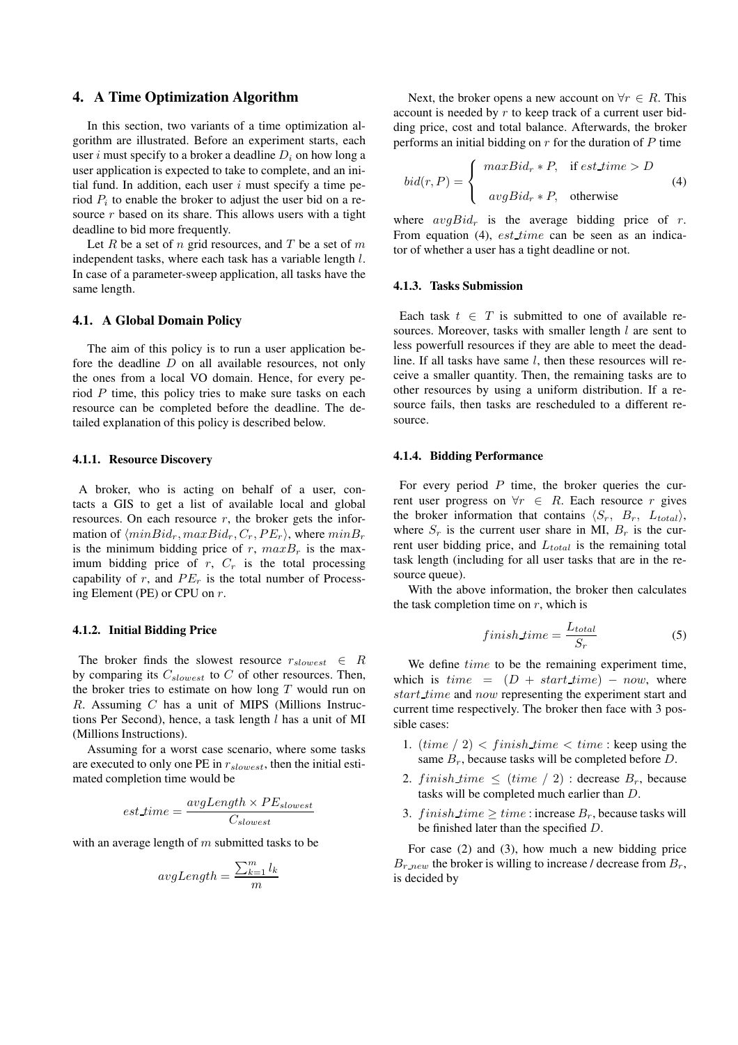# **4. A Time Optimization Algorithm**

In this section, two variants of a time optimization algorithm are illustrated. Before an experiment starts, each user i must specify to a broker a deadline  $D_i$  on how long a user application is expected to take to complete, and an initial fund. In addition, each user  $i$  must specify a time period  $P_i$  to enable the broker to adjust the user bid on a resource  $r$  based on its share. This allows users with a tight deadline to bid more frequently.

Let R be a set of n grid resources, and T be a set of  $m$ independent tasks, where each task has a variable length l. In case of a parameter-sweep application, all tasks have the same length.

# **4.1. A Global Domain Policy**

The aim of this policy is to run a user application before the deadline D on all available resources, not only the ones from a local VO domain. Hence, for every period P time, this policy tries to make sure tasks on each resource can be completed before the deadline. The detailed explanation of this policy is described below.

#### **4.1.1. Resource Discovery**

A broker, who is acting on behalf of a user, contacts a GIS to get a list of available local and global resources. On each resource  $r$ , the broker gets the information of  $\langle minBid_r, maxBid_r, C_r, PE_r \rangle$ , where  $minB_r$ <br>is the minimum hidding griss of  $r$ , mang*P* is the mov is the minimum bidding price of  $r$ ,  $maxB_r$  is the maximum bidding price of  $r$ ,  $C_r$  is the total processing capability of  $r$ , and  $PE<sub>r</sub>$  is the total number of Processing Element (PE) or CPU on r.

#### **4.1.2. Initial Bidding Price**

The broker finds the slowest resource  $r_{slowest} \in R$ by comparing its <sup>C</sup>*slowest* to <sup>C</sup> of other resources. Then, the broker tries to estimate on how long  $T$  would run on  $R$ . Assuming  $C$  has a unit of MIPS (Millions Instructions Per Second), hence, a task length  $l$  has a unit of MI (Millions Instructions).

Assuming for a worst case scenario, where some tasks are executed to only one PE in <sup>r</sup>*slowest*, then the initial estimated completion time would be

$$
est\_time = \frac{avgLength \times PE_{slowest}}{C_{slowest}}
$$

with an average length of  $m$  submitted tasks to be

$$
avgLength = \frac{\sum_{k=1}^{m} l_k}{m}
$$

Next, the broker opens a new account on  $\forall r \in R$ . This account is needed by r to keep track of a current user bidding price, cost and total balance. Afterwards, the broker performs an initial bidding on  $r$  for the duration of  $P$  time

$$
bid(r, P) = \begin{cases} maxBid_r * P, & \text{if } est\_time > D \\ avgBid_r * P, & \text{otherwise} \end{cases}
$$
(4)

where  $avgBid_r$  is the average bidding price of  $r$ . From equation (4),  $est_time$  can be seen as an indicator of whether a user has a tight deadline or not.

#### **4.1.3. Tasks Submission**

Each task  $t \in T$  is submitted to one of available resources. Moreover, tasks with smaller length  $l$  are sent to less powerfull resources if they are able to meet the deadline. If all tasks have same  $l$ , then these resources will receive a smaller quantity. Then, the remaining tasks are to other resources by using a uniform distribution. If a resource fails, then tasks are rescheduled to a different resource.

#### **4.1.4. Bidding Performance**

For every period  $P$  time, the broker queries the current user progress on  $\forall r \in R$ . Each resource r gives the broker information that contains  $\langle S_r, B_r, L_{total} \rangle$ , where  $S_r$  is the current user share in MI,  $B_r$  is the current user bidding price, and <sup>L</sup>*total* is the remaining total task length (including for all user tasks that are in the resource queue).

With the above information, the broker then calculates the task completion time on  $r$ , which is

$$
f inish\_time = \frac{L_{total}}{S_r}
$$
\n<sup>(5)</sup>

We define *time* to be the remaining experiment time, which is time =  $(D + start_time) - now$ , where start time and now representing the experiment start and current time respectively. The broker then face with 3 possible cases:

- 1.  $(time / 2) < finish\_time < time$ : keep using the same  $B_r$ , because tasks will be completed before  $D$ .
- 2. finish time  $\leq$  (time / 2) : decrease  $B_r$ , because tasks will be completed much earlier than D.
- 3. *finish\_time*  $\geq$  *time* : increase  $B_r$ , because tasks will be finished later than the specified D.

For case (2) and (3), how much a new bidding price  $B_{r,new}$  the broker is willing to increase / decrease from  $B_r$ , is decided by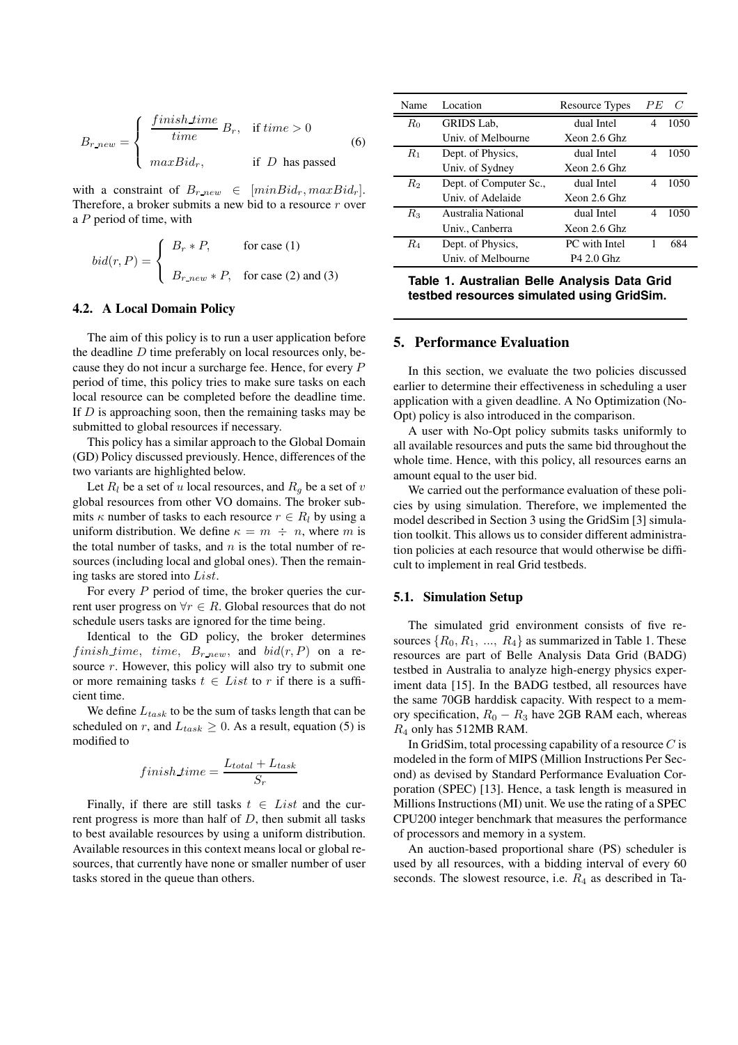$$
B_{r,new} = \begin{cases} \frac{finish\_time}{time} B_r, & \text{if time} > 0\\ maxBid_r, & \text{if } D \text{ has passed} \end{cases}
$$
 (6)

with a constraint of  $B_{r,new} \in [minBid_r, maxBid_r]$ . Therefore, a broker submits a new bid to a resource r over a P period of time, with

$$
bid(r, P) = \begin{cases} B_r * P, & \text{for case (1)}\\ B_{r,new} * P, & \text{for case (2) and (3)} \end{cases}
$$

#### **4.2. A Local Domain Policy**

The aim of this policy is to run a user application before the deadline  $D$  time preferably on local resources only, because they do not incur a surcharge fee. Hence, for every P period of time, this policy tries to make sure tasks on each local resource can be completed before the deadline time. If  $D$  is approaching soon, then the remaining tasks may be submitted to global resources if necessary.

This policy has a similar approach to the Global Domain (GD) Policy discussed previously. Hence, differences of the two variants are highlighted below.

Let  $R_l$  be a set of u local resources, and  $R_q$  be a set of v global resources from other VO domains. The broker submits  $\kappa$  number of tasks to each resource  $r \in R_l$  by using a uniform distribution. We define  $\kappa = m \div n$ , where m is the total number of tasks, and  $n$  is the total number of resources (including local and global ones). Then the remaining tasks are stored into List.

For every  $P$  period of time, the broker queries the current user progress on  $\forall r \in R$ . Global resources that do not schedule users tasks are ignored for the time being.

Identical to the GD policy, the broker determines *finish time, time,*  $B_{rnew}$ , and  $bid(r, P)$  on a resource  $r$ . However, this policy will also try to submit one or more remaining tasks  $t \in List$  to r if there is a sufficient time.

We define <sup>L</sup>*task* to be the sum of tasks length that can be scheduled on r, and  $L_{task} \geq 0$ . As a result, equation (5) is modified to

$$
finish_time = \frac{L_{total} + L_{task}}{S_r}
$$

Finally, if there are still tasks  $t \in List$  and the current progress is more than half of  $D$ , then submit all tasks to best available resources by using a uniform distribution. Available resources in this context means local or global resources, that currently have none or smaller number of user tasks stored in the queue than others.

| Name           | Location               | Resource Types         | PE<br>C   |
|----------------|------------------------|------------------------|-----------|
| $R_0$          | GRIDS Lab,             | dual Intel             | 1050<br>4 |
|                | Univ. of Melbourne     | Xeon 2.6 Ghz           |           |
| $R_1$          | Dept. of Physics,      | dual Intel             | 1050<br>4 |
|                | Univ. of Sydney        | Xeon 2.6 Ghz           |           |
| R <sub>2</sub> | Dept. of Computer Sc., | dual Intel             | 1050<br>4 |
|                | Univ. of Adelaide      | Xeon 2.6 Ghz           |           |
| $R_3$          | Australia National     | dual Intel             | 1050<br>4 |
|                | Univ., Canberra        | Xeon 2.6 Ghz           |           |
| R4             | Dept. of Physics,      | PC with Intel          | 684       |
|                | Univ. of Melbourne     | P <sub>4</sub> 2.0 Ghz |           |

**Table 1. Australian Belle Analysis Data Grid testbed resources simulated using GridSim.**

## **5. Performance Evaluation**

In this section, we evaluate the two policies discussed earlier to determine their effectiveness in scheduling a user application with a given deadline. A No Optimization (No-Opt) policy is also introduced in the comparison.

A user with No-Opt policy submits tasks uniformly to all available resources and puts the same bid throughout the whole time. Hence, with this policy, all resources earns an amount equal to the user bid.

We carried out the performance evaluation of these policies by using simulation. Therefore, we implemented the model described in Section 3 using the GridSim [3] simulation toolkit. This allows us to consider different administration policies at each resource that would otherwise be difficult to implement in real Grid testbeds.

#### **5.1. Simulation Setup**

The simulated grid environment consists of five resources  $\{R_0, R_1, ..., R_4\}$  as summarized in Table 1. These resources are part of Belle Analysis Data Grid (BADG) testbed in Australia to analyze high-energy physics experiment data [15]. In the BADG testbed, all resources have the same 70GB harddisk capacity. With respect to a memory specification,  $R_0 - R_3$  have 2GB RAM each, whereas  $R_4$  only has 512MB RAM.

In GridSim, total processing capability of a resource  $C$  is modeled in the form of MIPS (Million Instructions Per Second) as devised by Standard Performance Evaluation Corporation (SPEC) [13]. Hence, a task length is measured in Millions Instructions (MI) unit. We use the rating of a SPEC CPU200 integer benchmark that measures the performance of processors and memory in a system.

An auction-based proportional share (PS) scheduler is used by all resources, with a bidding interval of every 60 seconds. The slowest resource, i.e.  $R_4$  as described in Ta-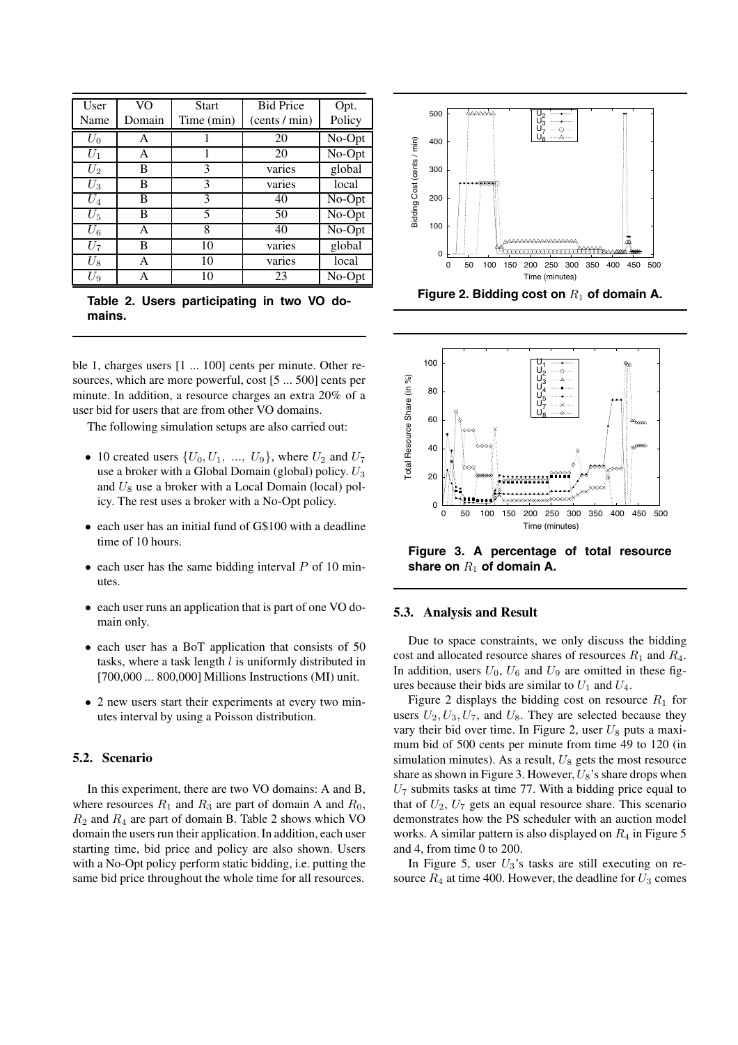| User    | VO     | <b>Start</b> | <b>Bid Price</b> | Opt.                        |
|---------|--------|--------------|------------------|-----------------------------|
| Name    | Domain | Time (min)   | (cents / min)    | Policy                      |
| $U_0$   | Α      |              | 20               | No-Opt                      |
| $U_1$   | А      |              | 20               | No-Opt                      |
| $U_2$   | В      | 3            | varies           | global                      |
| $U_3$   | В      | 3            | varies           | local                       |
| $U_4$   | В      | 3            | 40               | No-Opt                      |
| $U_5$   | В      | 5            | 50               | No-Opt                      |
| $U_{6}$ | А      | 8            | 40               | $\overline{\text{No}}$ -Opt |
| $U_7$   | В      | 10           | varies           | global                      |
| $U_8$   | A      | 10           | varies           | local                       |
| U9      | A      | 10           | 23               | No-Opt                      |

**Table 2. Users participating in two VO domains.**

ble 1, charges users [1 ... 100] cents per minute. Other resources, which are more powerful, cost [5 ... 500] cents per minute. In addition, a resource charges an extra 20% of a user bid for users that are from other VO domains.

The following simulation setups are also carried out:

- 10 created users  $\{U_0, U_1, ..., U_9\}$ , where  $U_2$  and  $U_7$ use a broker with a Global Domain (global) policy.  $U_3$ and  $U_8$  use a broker with a Local Domain (local) policy. The rest uses a broker with a No-Opt policy.
- each user has an initial fund of G\$100 with a deadline time of 10 hours.
- each user has the same bidding interval  $P$  of 10 minutes.
- each user runs an application that is part of one VO domain only.
- each user has a BoT application that consists of 50 tasks, where a task length  $l$  is uniformly distributed in [700,000 ... 800,000] Millions Instructions (MI) unit.
- 2 new users start their experiments at every two minutes interval by using a Poisson distribution.

## **5.2. Scenario**

In this experiment, there are two VO domains: A and B, where resources  $R_1$  and  $R_3$  are part of domain A and  $R_0$ ,  $R_2$  and  $R_4$  are part of domain B. Table 2 shows which VO domain the users run their application. In addition, each user starting time, bid price and policy are also shown. Users with a No-Opt policy perform static bidding, i.e. putting the same bid price throughout the whole time for all resources.



Figure 2. Bidding cost on  $R_1$  of domain A.



**Figure 3. A percentage of total resource** share on  $R_1$  of domain A.

#### **5.3. Analysis and Result**

Due to space constraints, we only discuss the bidding cost and allocated resource shares of resources  $R_1$  and  $R_4$ . In addition, users  $U_0$ ,  $U_6$  and  $U_9$  are omitted in these figures because their bids are similar to  $U_1$  and  $U_4$ .

Figure 2 displays the bidding cost on resource  $R_1$  for users  $U_2, U_3, U_7$ , and  $U_8$ . They are selected because they vary their bid over time. In Figure 2, user  $U_8$  puts a maximum bid of 500 cents per minute from time 49 to 120 (in simulation minutes). As a result,  $U_8$  gets the most resource share as shown in Figure 3. However,  $U_8$ 's share drops when  $U_7$  submits tasks at time 77. With a bidding price equal to that of  $U_2$ ,  $U_7$  gets an equal resource share. This scenario demonstrates how the PS scheduler with an auction model works. A similar pattern is also displayed on  $R_4$  in Figure 5 and 4, from time 0 to 200.

In Figure 5, user  $U_3$ 's tasks are still executing on resource  $R_4$  at time 400. However, the deadline for  $U_3$  comes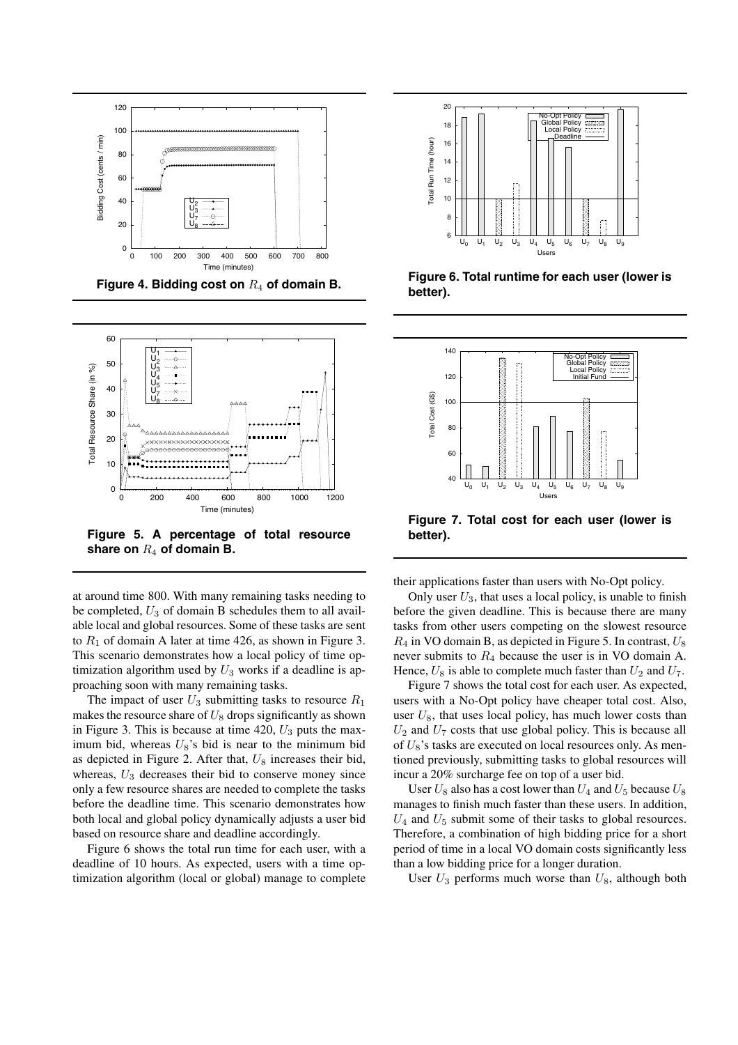

**Figure 4. Bidding cost on** R<sup>4</sup> **of domain B.**



**Figure 5. A percentage of total resource share on** R<sup>4</sup> **of domain B.**

at around time 800. With many remaining tasks needing to be completed,  $U_3$  of domain B schedules them to all available local and global resources. Some of these tasks are sent to  $R_1$  of domain A later at time 426, as shown in Figure 3. This scenario demonstrates how a local policy of time optimization algorithm used by  $U_3$  works if a deadline is approaching soon with many remaining tasks.

The impact of user  $U_3$  submitting tasks to resource  $R_1$ makes the resource share of  $U_8$  drops significantly as shown in Figure 3. This is because at time 420,  $U_3$  puts the maximum bid, whereas  $U_8$ 's bid is near to the minimum bid as depicted in Figure 2. After that,  $U_8$  increases their bid, whereas,  $U_3$  decreases their bid to conserve money since only a few resource shares are needed to complete the tasks before the deadline time. This scenario demonstrates how both local and global policy dynamically adjusts a user bid based on resource share and deadline accordingly.

Figure 6 shows the total run time for each user, with a deadline of 10 hours. As expected, users with a time optimization algorithm (local or global) manage to complete



**Figure 6. Total runtime for each user (lower is better).**



**Figure 7. Total cost for each user (lower is better).**

their applications faster than users with No-Opt policy.

Only user  $U_3$ , that uses a local policy, is unable to finish before the given deadline. This is because there are many tasks from other users competing on the slowest resource  $R_4$  in VO domain B, as depicted in Figure 5. In contrast,  $U_8$ never submits to  $R_4$  because the user is in VO domain A. Hence,  $U_8$  is able to complete much faster than  $U_2$  and  $U_7$ .

Figure 7 shows the total cost for each user. As expected, users with a No-Opt policy have cheaper total cost. Also, user  $U_8$ , that uses local policy, has much lower costs than  $U_2$  and  $U_7$  costs that use global policy. This is because all of  $U_8$ 's tasks are executed on local resources only. As mentioned previously, submitting tasks to global resources will incur a 20% surcharge fee on top of a user bid.

User  $U_8$  also has a cost lower than  $U_4$  and  $U_5$  because  $U_8$ manages to finish much faster than these users. In addition,  $U_4$  and  $U_5$  submit some of their tasks to global resources. Therefore, a combination of high bidding price for a short period of time in a local VO domain costs significantly less than a low bidding price for a longer duration.

User  $U_3$  performs much worse than  $U_8$ , although both